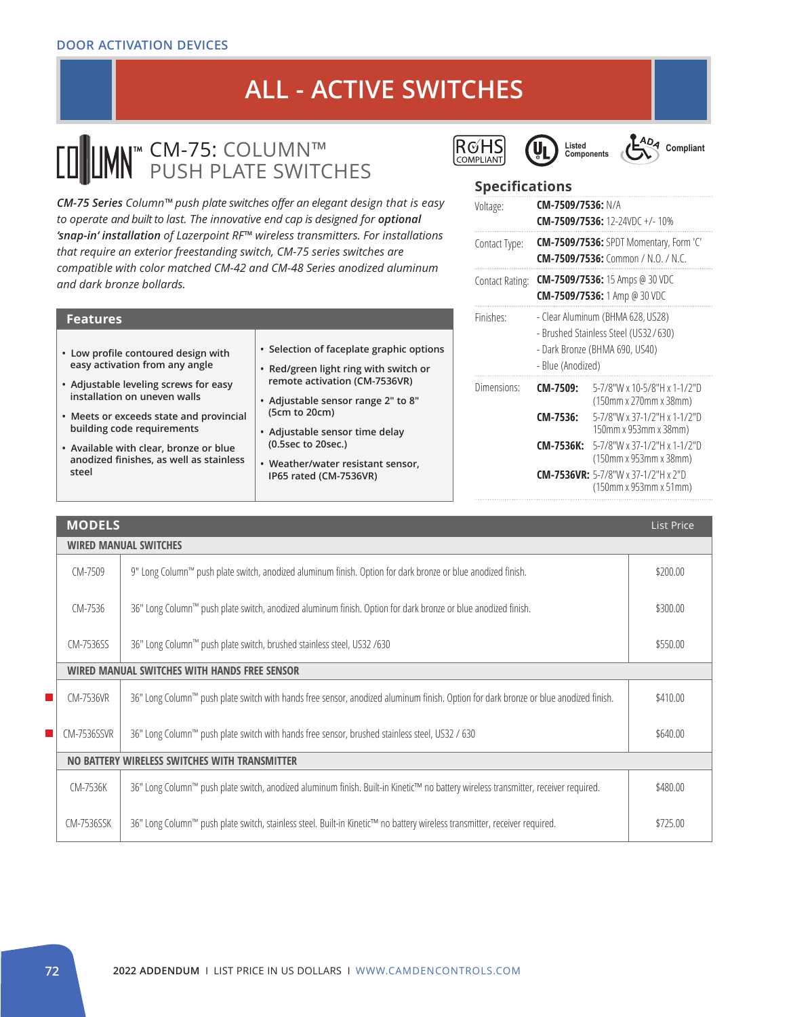# **ALL - ACTIVE SWITCHES**

### CM-75: COLUMN™ PUSH PLATE SWITCHES

*CM-75 Series Column™ push plate switches offer an elegant design that is easy*  to operate and built to last. The innovative end cap is designed for *optional 'snap-in' installation of Lazerpoint RF™ wireless transmitters. For installations that require an exterior freestanding switch, CM-75 series switches are compatible with color matched CM-42 and CM-48 Series anodized aluminum and dark bronze bollards.* 

| • Selection of faceplate graphic options<br>• Low profile contoured design with<br>easy activation from any angle<br>• Red/green light ring with switch or<br>remote activation (CM-7536VR)<br>• Adjustable leveling screws for easy<br>installation on uneven walls<br>• Adjustable sensor range 2" to 8"<br>(5cm to 20cm)<br>• Meets or exceeds state and provincial<br>building code requirements<br>• Adjustable sensor time delay<br>(0.5sec to 20sec.)<br>• Available with clear, bronze or blue<br>anodized finishes, as well as stainless<br>• Weather/water resistant sensor,<br>steel<br>IP65 rated (CM-7536VR) | <b>Features</b> |  |  |  |  |  |
|---------------------------------------------------------------------------------------------------------------------------------------------------------------------------------------------------------------------------------------------------------------------------------------------------------------------------------------------------------------------------------------------------------------------------------------------------------------------------------------------------------------------------------------------------------------------------------------------------------------------------|-----------------|--|--|--|--|--|
|                                                                                                                                                                                                                                                                                                                                                                                                                                                                                                                                                                                                                           |                 |  |  |  |  |  |







#### **Specifications**

| Voltage:        | <b>CM-7509/7536: N/A</b>                                                                                                         | <b>CM-7509/7536:</b> 12-24VDC +/-10%                                                       |  |
|-----------------|----------------------------------------------------------------------------------------------------------------------------------|--------------------------------------------------------------------------------------------|--|
| Contact Type:   |                                                                                                                                  | <b>CM-7509/7536:</b> SPDT Momentary, Form 'C'<br><b>CM-7509/7536:</b> Common / N.O. / N.C. |  |
| Contact Rating: | <b>CM-7509/7536:</b> 15 Amps @ 30 VDC<br><b>CM-7509/7536:</b> 1 Amp @ 30 VDC                                                     |                                                                                            |  |
| Finishes:       | - Clear Aluminum (BHMA 628, US28)<br>- Brushed Stainless Steel (US32/630)<br>- Dark Bronze (BHMA 690, US40)<br>- Blue (Anodized) |                                                                                            |  |
| Dimensions:     | CM-7509:                                                                                                                         | 5-7/8"W x 10-5/8"H x 1-1/2"D<br>(150mm x 270mm x 38mm)                                     |  |
|                 | CM-7536:                                                                                                                         | 5-7/8"W x 37-1/2"H x 1-1/2"D<br>150mm x 953mm x 38mm)                                      |  |
|                 | <b>CM-7536K:</b>                                                                                                                 | 5-7/8"W x 37-1/2"H x 1-1/2"D<br>(150mm x 953mm x 38mm)                                     |  |
|                 |                                                                                                                                  | <b>CM-7536VR:</b> 5-7/8"W x 37-1/2"H x 2"D<br>(150mm x 953mm x 51mm)                       |  |

|    | <b>MODELS</b>                                 |                                                                                                                                      |          |  |  |
|----|-----------------------------------------------|--------------------------------------------------------------------------------------------------------------------------------------|----------|--|--|
|    | <b>WIRED MANUAL SWITCHES</b>                  |                                                                                                                                      |          |  |  |
|    | CM-7509                                       | 9" Long Column™ push plate switch, anodized aluminum finish. Option for dark bronze or blue anodized finish.                         | \$200.00 |  |  |
|    | CM-7536                                       | 36" Long Column™ push plate switch, anodized aluminum finish. Option for dark bronze or blue anodized finish.                        | \$300.00 |  |  |
|    | CM-7536SS                                     | 36" Long Column™ push plate switch, brushed stainless steel, US32 /630                                                               | \$550.00 |  |  |
|    | WIRED MANUAL SWITCHES WITH HANDS FREE SENSOR  |                                                                                                                                      |          |  |  |
| H. | CM-7536VR                                     | 36" Long Column™ push plate switch with hands free sensor, anodized aluminum finish. Option for dark bronze or blue anodized finish. | \$410.00 |  |  |
|    | <b>CM-7536SSVR</b>                            | 36" Long Column™ push plate switch with hands free sensor, brushed stainless steel, US32 / 630                                       | \$640.00 |  |  |
|    | NO BATTERY WIRELESS SWITCHES WITH TRANSMITTER |                                                                                                                                      |          |  |  |
|    | CM-7536K                                      | 36" Long Column™ push plate switch, anodized aluminum finish. Built-in Kinetic™ no battery wireless transmitter, receiver required.  | \$480.00 |  |  |
|    | CM-7536SSK                                    | 36" Long Column™ push plate switch, stainless steel. Built-in Kinetic™ no battery wireless transmitter, receiver required.           | \$725.00 |  |  |